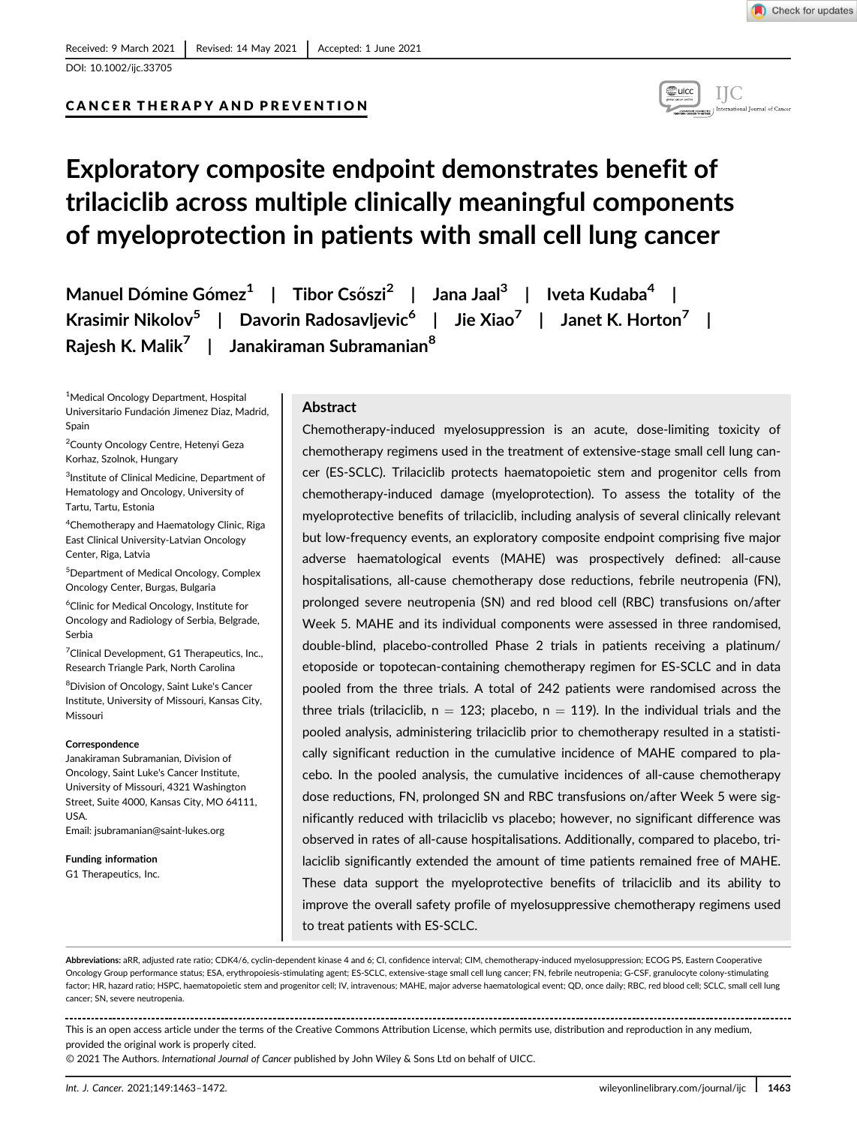# CANCER THERAPY AND PREVENTION



# Exploratory composite endpoint demonstrates benefit of trilaciclib across multiple clinically meaningful components of myeloprotection in patients with small cell lung cancer

Manuel Dómine Gómez<sup>1</sup> | Tibor Csőszi<sup>2</sup> | Jana Jaal<sup>3</sup> | Iveta Kudaba<sup>4</sup> | Krasimir Nikolov<sup>5</sup> | Davorin Radosavljevic<sup>6</sup> | Jie Xiao<sup>7</sup> | Janet K. Horton<sup>7</sup> | Rajesh K. Malik<sup>7</sup> | Janakiraman Subramanian<sup>8</sup>

1 Medical Oncology Department, Hospital Universitario Fundación Jimenez Diaz, Madrid, Spain

2 County Oncology Centre, Hetenyi Geza Korhaz, Szolnok, Hungary

3 Institute of Clinical Medicine, Department of Hematology and Oncology, University of Tartu, Tartu, Estonia

4 Chemotherapy and Haematology Clinic, Riga East Clinical University-Latvian Oncology Center, Riga, Latvia

5 Department of Medical Oncology, Complex Oncology Center, Burgas, Bulgaria

6 Clinic for Medical Oncology, Institute for Oncology and Radiology of Serbia, Belgrade, Serbia

<sup>7</sup> Clinical Development, G1 Therapeutics, Inc., Research Triangle Park, North Carolina

<sup>8</sup>Division of Oncology, Saint Luke's Cancer Institute, University of Missouri, Kansas City, Missouri

#### Correspondence

Janakiraman Subramanian, Division of Oncology, Saint Luke's Cancer Institute, University of Missouri, 4321 Washington Street, Suite 4000, Kansas City, MO 64111, USA.

Email: [jsubramanian@saint-lukes.org](mailto:jsubramanian@saint-lukes.org)

Funding information G1 Therapeutics, Inc.

# Abstract

Chemotherapy-induced myelosuppression is an acute, dose-limiting toxicity of chemotherapy regimens used in the treatment of extensive-stage small cell lung cancer (ES-SCLC). Trilaciclib protects haematopoietic stem and progenitor cells from chemotherapy-induced damage (myeloprotection). To assess the totality of the myeloprotective benefits of trilaciclib, including analysis of several clinically relevant but low-frequency events, an exploratory composite endpoint comprising five major adverse haematological events (MAHE) was prospectively defined: all-cause hospitalisations, all-cause chemotherapy dose reductions, febrile neutropenia (FN), prolonged severe neutropenia (SN) and red blood cell (RBC) transfusions on/after Week 5. MAHE and its individual components were assessed in three randomised, double-blind, placebo-controlled Phase 2 trials in patients receiving a platinum/ etoposide or topotecan-containing chemotherapy regimen for ES-SCLC and in data pooled from the three trials. A total of 242 patients were randomised across the three trials (trilaciclib,  $n = 123$ ; placebo,  $n = 119$ ). In the individual trials and the pooled analysis, administering trilaciclib prior to chemotherapy resulted in a statistically significant reduction in the cumulative incidence of MAHE compared to placebo. In the pooled analysis, the cumulative incidences of all-cause chemotherapy dose reductions, FN, prolonged SN and RBC transfusions on/after Week 5 were significantly reduced with trilaciclib vs placebo; however, no significant difference was observed in rates of all-cause hospitalisations. Additionally, compared to placebo, trilaciclib significantly extended the amount of time patients remained free of MAHE. These data support the myeloprotective benefits of trilaciclib and its ability to improve the overall safety profile of myelosuppressive chemotherapy regimens used to treat patients with ES-SCLC.

Abbreviations: aRR, adjusted rate ratio; CDK4/6, cyclin-dependent kinase 4 and 6; CI, confidence interval; CIM, chemotherapy-induced myelosuppression; ECOG PS, Eastern Cooperative Oncology Group performance status; ESA, erythropoiesis-stimulating agent; ES-SCLC, extensive-stage small cell lung cancer; FN, febrile neutropenia; G-CSF, granulocyte colony-stimulating factor; HR, hazard ratio; HSPC, haematopoietic stem and progenitor cell; IV, intravenous; MAHE, major adverse haematological event; QD, once daily; RBC, red blood cell; SCLC, small cell lung cancer; SN, severe neutropenia.

This is an open access article under the terms of the [Creative Commons Attribution](http://creativecommons.org/licenses/by/4.0/) License, which permits use, distribution and reproduction in any medium, provided the original work is properly cited.

© 2021 The Authors. International Journal of Cancer published by John Wiley & Sons Ltd on behalf of UICC.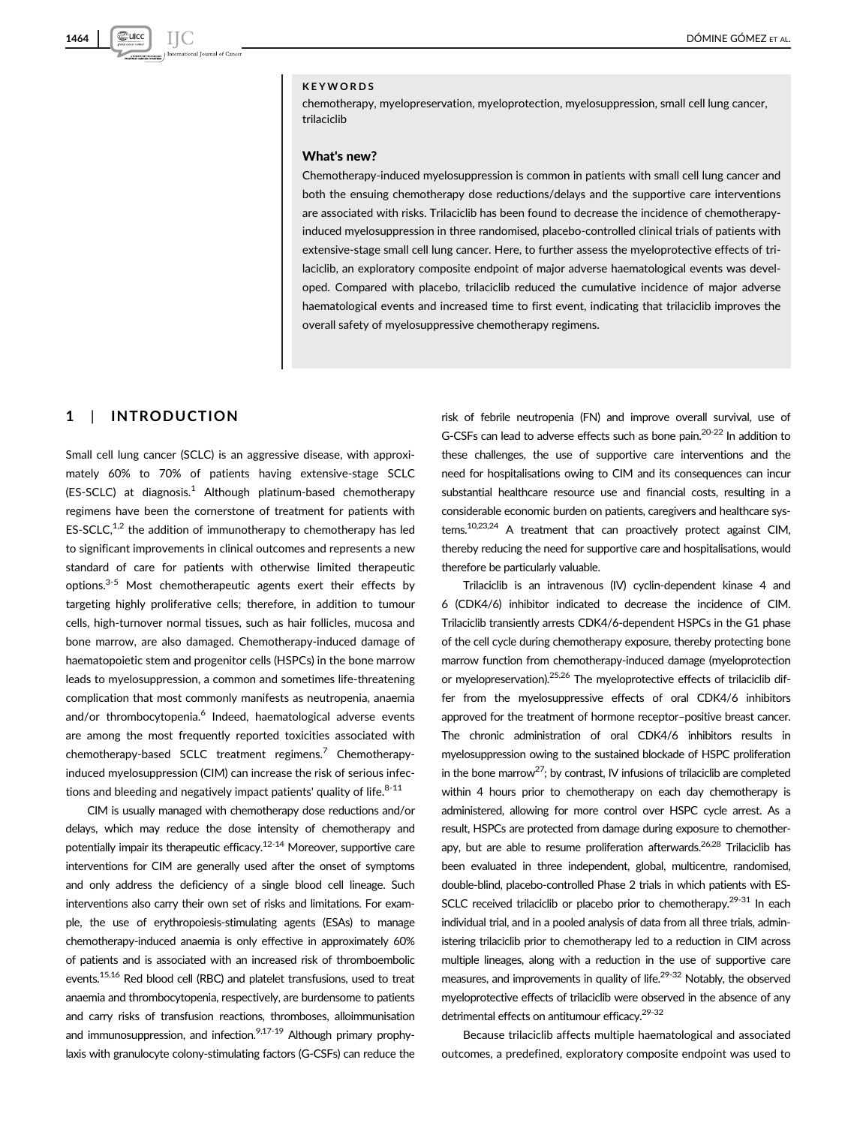#### KEYWORDS

chemotherapy, myelopreservation, myeloprotection, myelosuppression, small cell lung cancer, trilaciclib

#### What's new?

Chemotherapy-induced myelosuppression is common in patients with small cell lung cancer and both the ensuing chemotherapy dose reductions/delays and the supportive care interventions are associated with risks. Trilaciclib has been found to decrease the incidence of chemotherapyinduced myelosuppression in three randomised, placebo-controlled clinical trials of patients with extensive-stage small cell lung cancer. Here, to further assess the myeloprotective effects of trilaciclib, an exploratory composite endpoint of major adverse haematological events was developed. Compared with placebo, trilaciclib reduced the cumulative incidence of major adverse haematological events and increased time to first event, indicating that trilaciclib improves the overall safety of myelosuppressive chemotherapy regimens.

## 1 | INTRODUCTION

Small cell lung cancer (SCLC) is an aggressive disease, with approximately 60% to 70% of patients having extensive-stage SCLC  $(ES-SCLC)$  at diagnosis.<sup>1</sup> Although platinum-based chemotherapy regimens have been the cornerstone of treatment for patients with  $ES-SCLC<sup>1,2</sup>$  the addition of immunotherapy to chemotherapy has led to significant improvements in clinical outcomes and represents a new standard of care for patients with otherwise limited therapeutic options. $3-5$  Most chemotherapeutic agents exert their effects by targeting highly proliferative cells; therefore, in addition to tumour cells, high-turnover normal tissues, such as hair follicles, mucosa and bone marrow, are also damaged. Chemotherapy-induced damage of haematopoietic stem and progenitor cells (HSPCs) in the bone marrow leads to myelosuppression, a common and sometimes life-threatening complication that most commonly manifests as neutropenia, anaemia and/or thrombocytopenia.<sup>6</sup> Indeed, haematological adverse events are among the most frequently reported toxicities associated with chemotherapy-based SCLC treatment regimens.<sup>7</sup> Chemotherapyinduced myelosuppression (CIM) can increase the risk of serious infections and bleeding and negatively impact patients' quality of life. $8-11$ 

CIM is usually managed with chemotherapy dose reductions and/or delays, which may reduce the dose intensity of chemotherapy and potentially impair its therapeutic efficacy.<sup>12-14</sup> Moreover, supportive care interventions for CIM are generally used after the onset of symptoms and only address the deficiency of a single blood cell lineage. Such interventions also carry their own set of risks and limitations. For example, the use of erythropoiesis-stimulating agents (ESAs) to manage chemotherapy-induced anaemia is only effective in approximately 60% of patients and is associated with an increased risk of thromboembolic events.<sup>15,16</sup> Red blood cell (RBC) and platelet transfusions, used to treat anaemia and thrombocytopenia, respectively, are burdensome to patients and carry risks of transfusion reactions, thromboses, alloimmunisation and immunosuppression, and infection.  $9,17-19$  Although primary prophylaxis with granulocyte colony-stimulating factors (G-CSFs) can reduce the

risk of febrile neutropenia (FN) and improve overall survival, use of G-CSFs can lead to adverse effects such as bone pain.20-22 In addition to these challenges, the use of supportive care interventions and the need for hospitalisations owing to CIM and its consequences can incur substantial healthcare resource use and financial costs, resulting in a considerable economic burden on patients, caregivers and healthcare systems.10,23,24 A treatment that can proactively protect against CIM, thereby reducing the need for supportive care and hospitalisations, would therefore be particularly valuable.

Trilaciclib is an intravenous (IV) cyclin-dependent kinase 4 and 6 (CDK4/6) inhibitor indicated to decrease the incidence of CIM. Trilaciclib transiently arrests CDK4/6-dependent HSPCs in the G1 phase of the cell cycle during chemotherapy exposure, thereby protecting bone marrow function from chemotherapy-induced damage (myeloprotection or myelopreservation).<sup>25,26</sup> The myeloprotective effects of trilaciclib differ from the myelosuppressive effects of oral CDK4/6 inhibitors approved for the treatment of hormone receptor–positive breast cancer. The chronic administration of oral CDK4/6 inhibitors results in myelosuppression owing to the sustained blockade of HSPC proliferation in the bone marrow<sup>27</sup>; by contrast, IV infusions of trilaciclib are completed within 4 hours prior to chemotherapy on each day chemotherapy is administered, allowing for more control over HSPC cycle arrest. As a result, HSPCs are protected from damage during exposure to chemotherapy, but are able to resume proliferation afterwards.<sup>26,28</sup> Trilaciclib has been evaluated in three independent, global, multicentre, randomised, double-blind, placebo-controlled Phase 2 trials in which patients with ES-SCLC received trilaciclib or placebo prior to chemotherapy.<sup>29-31</sup> In each individual trial, and in a pooled analysis of data from all three trials, administering trilaciclib prior to chemotherapy led to a reduction in CIM across multiple lineages, along with a reduction in the use of supportive care measures, and improvements in quality of life.<sup>29-32</sup> Notably, the observed myeloprotective effects of trilaciclib were observed in the absence of any detrimental effects on antitumour efficacy.29-32

Because trilaciclib affects multiple haematological and associated outcomes, a predefined, exploratory composite endpoint was used to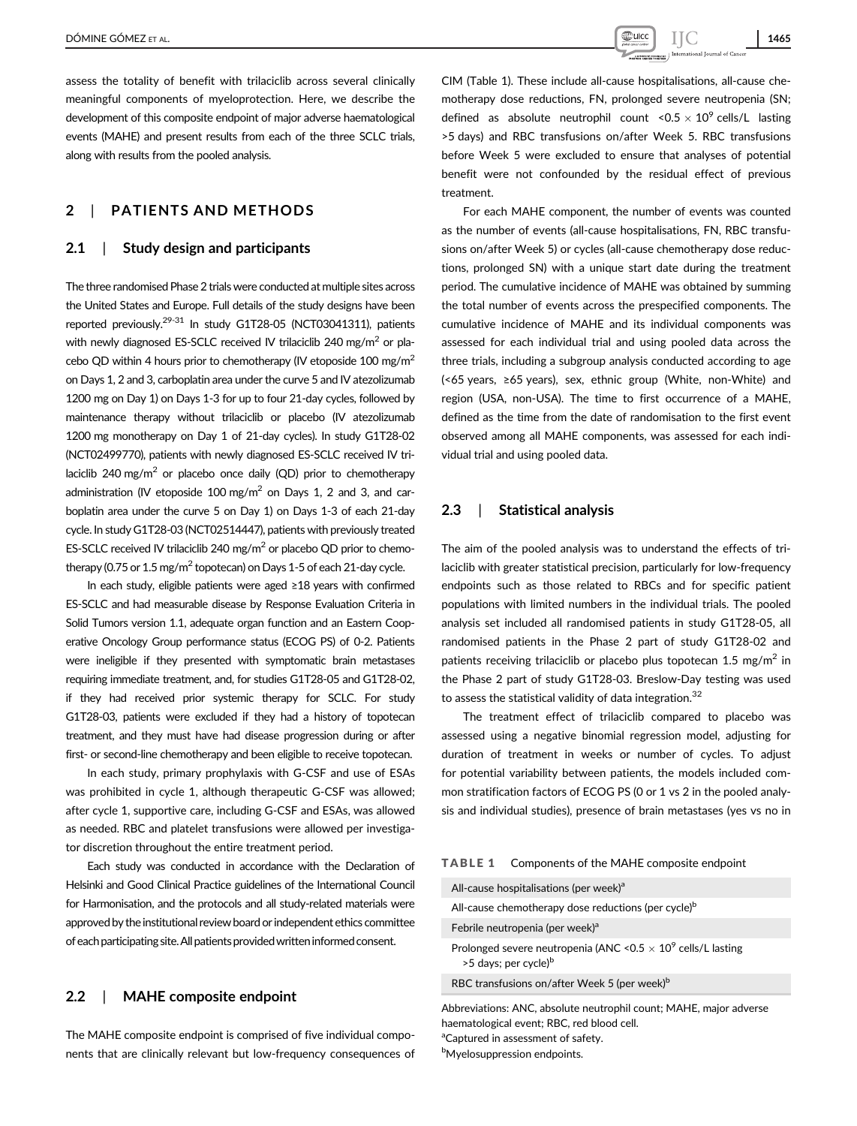assess the totality of benefit with trilaciclib across several clinically meaningful components of myeloprotection. Here, we describe the development of this composite endpoint of major adverse haematological events (MAHE) and present results from each of the three SCLC trials, along with results from the pooled analysis.

# 2 | PATIENTS AND METHODS

# 2.1 | Study design and participants

The three randomised Phase 2 trials were conducted at multiple sites across the United States and Europe. Full details of the study designs have been reported previously.<sup>29-31</sup> In study G1T28-05 (NCT03041311), patients with newly diagnosed ES-SCLC received IV trilaciclib 240 mg/m<sup>2</sup> or placebo QD within 4 hours prior to chemotherapy (IV etoposide 100 mg/m<sup>2</sup> on Days 1, 2 and 3, carboplatin area under the curve 5 and IV atezolizumab 1200 mg on Day 1) on Days 1-3 for up to four 21-day cycles, followed by maintenance therapy without trilaciclib or placebo (IV atezolizumab 1200 mg monotherapy on Day 1 of 21-day cycles). In study G1T28-02 (NCT02499770), patients with newly diagnosed ES-SCLC received IV trilaciclib 240 mg/m<sup>2</sup> or placebo once daily (QD) prior to chemotherapy administration (IV etoposide 100 mg/m<sup>2</sup> on Days 1, 2 and 3, and carboplatin area under the curve 5 on Day 1) on Days 1-3 of each 21-day cycle. In study G1T28-03 (NCT02514447), patients with previously treated ES-SCLC received IV trilaciclib 240 mg/m<sup>2</sup> or placebo QD prior to chemotherapy (0.75 or 1.5 mg/m<sup>2</sup> topotecan) on Days 1-5 of each 21-day cycle.

In each study, eligible patients were aged ≥18 years with confirmed ES-SCLC and had measurable disease by Response Evaluation Criteria in Solid Tumors version 1.1, adequate organ function and an Eastern Cooperative Oncology Group performance status (ECOG PS) of 0-2. Patients were ineligible if they presented with symptomatic brain metastases requiring immediate treatment, and, for studies G1T28-05 and G1T28-02, if they had received prior systemic therapy for SCLC. For study G1T28-03, patients were excluded if they had a history of topotecan treatment, and they must have had disease progression during or after first- or second-line chemotherapy and been eligible to receive topotecan.

In each study, primary prophylaxis with G-CSF and use of ESAs was prohibited in cycle 1, although therapeutic G-CSF was allowed; after cycle 1, supportive care, including G-CSF and ESAs, was allowed as needed. RBC and platelet transfusions were allowed per investigator discretion throughout the entire treatment period.

Each study was conducted in accordance with the Declaration of Helsinki and Good Clinical Practice guidelines of the International Council for Harmonisation, and the protocols and all study-related materials were approved by the institutional review board or independent ethics committee of each participating site. All patients provided written informed consent.

# 2.2 | MAHE composite endpoint

The MAHE composite endpoint is comprised of five individual components that are clinically relevant but low-frequency consequences of

CIM (Table 1). These include all-cause hospitalisations, all-cause chemotherapy dose reductions, FN, prolonged severe neutropenia (SN; defined as absolute neutrophil count  $\leq 0.5 \times 10^9$  cells/L lasting >5 days) and RBC transfusions on/after Week 5. RBC transfusions before Week 5 were excluded to ensure that analyses of potential benefit were not confounded by the residual effect of previous treatment.

For each MAHE component, the number of events was counted as the number of events (all-cause hospitalisations, FN, RBC transfusions on/after Week 5) or cycles (all-cause chemotherapy dose reductions, prolonged SN) with a unique start date during the treatment period. The cumulative incidence of MAHE was obtained by summing the total number of events across the prespecified components. The cumulative incidence of MAHE and its individual components was assessed for each individual trial and using pooled data across the three trials, including a subgroup analysis conducted according to age (<65 years, ≥65 years), sex, ethnic group (White, non-White) and region (USA, non-USA). The time to first occurrence of a MAHE, defined as the time from the date of randomisation to the first event observed among all MAHE components, was assessed for each individual trial and using pooled data.

## 2.3 | Statistical analysis

The aim of the pooled analysis was to understand the effects of trilaciclib with greater statistical precision, particularly for low-frequency endpoints such as those related to RBCs and for specific patient populations with limited numbers in the individual trials. The pooled analysis set included all randomised patients in study G1T28-05, all randomised patients in the Phase 2 part of study G1T28-02 and patients receiving trilaciclib or placebo plus topotecan 1.5 mg/m<sup>2</sup> in the Phase 2 part of study G1T28-03. Breslow-Day testing was used to assess the statistical validity of data integration. $32$ 

The treatment effect of trilaciclib compared to placebo was assessed using a negative binomial regression model, adjusting for duration of treatment in weeks or number of cycles. To adjust for potential variability between patients, the models included common stratification factors of ECOG PS (0 or 1 vs 2 in the pooled analysis and individual studies), presence of brain metastases (yes vs no in

|  | <b>TABLE 1</b> |  |  | Components of the MAHE composite endpoint |  |  |  |  |  |
|--|----------------|--|--|-------------------------------------------|--|--|--|--|--|
|--|----------------|--|--|-------------------------------------------|--|--|--|--|--|

| All-cause hospitalisations (per week) <sup>a</sup>                                                                   |
|----------------------------------------------------------------------------------------------------------------------|
| All-cause chemotherapy dose reductions (per cycle) <sup>b</sup>                                                      |
| Febrile neutropenia (per week) <sup>a</sup>                                                                          |
| Prolonged severe neutropenia (ANC < 0.5 $\times$ 10 <sup>9</sup> cells/L lasting<br>>5 days; per cycle) <sup>b</sup> |
| RBC transfusions on/after Week 5 (per week) <sup>b</sup>                                                             |
| Abbreviations: ANC absolute neutrophil count: MAHE major adverse                                                     |

Abbreviations: ANC, absolute neutrophil count; MAHE, major adverse haematological event; RBC, red blood cell. <sup>a</sup>Captured in assessment of safety.

**b**Myelosuppression endpoints.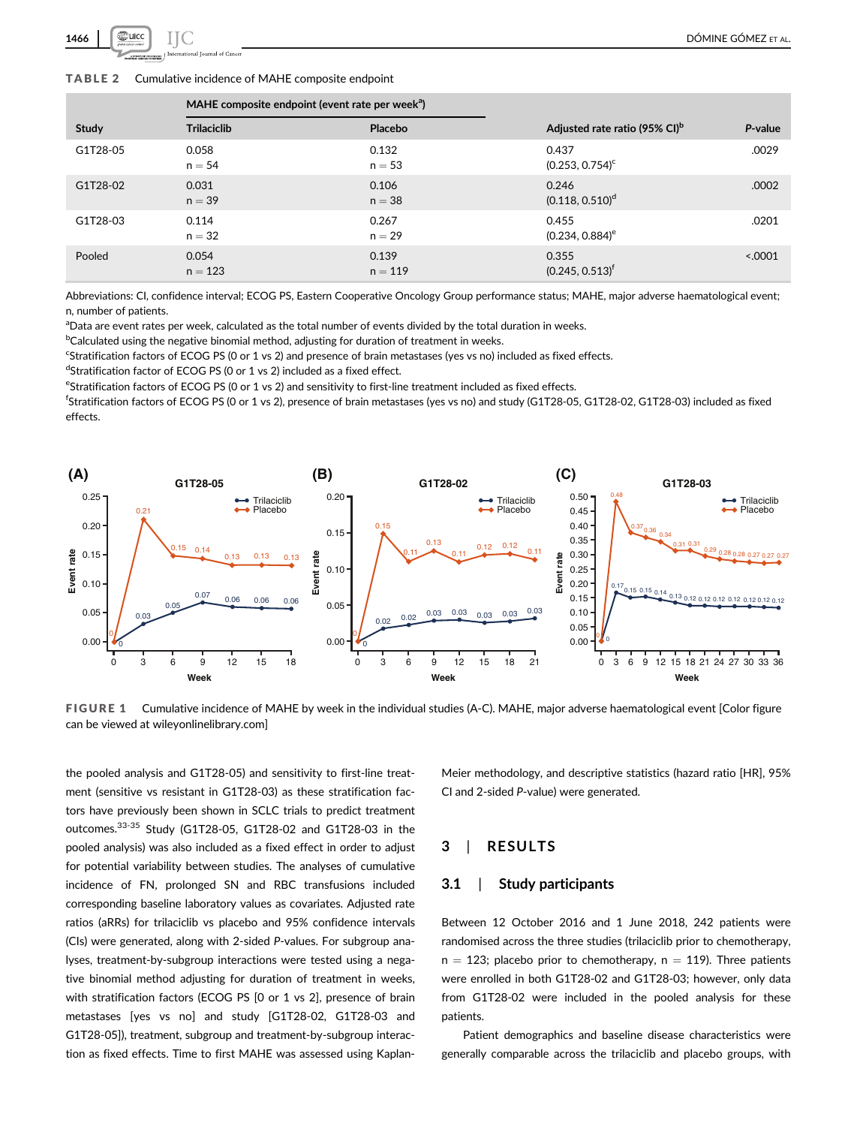

#### TABLE 2 Cumulative incidence of MAHE composite endpoint

| <b>Trilaciclib</b> | Placebo   | Adjusted rate ratio (95% CI) <sup>b</sup>                   | P-value  |
|--------------------|-----------|-------------------------------------------------------------|----------|
| 0.058              | 0.132     | 0.437                                                       | .0029    |
| $n = 54$           | $n = 53$  | $(0.253, 0.754)^c$                                          |          |
| 0.031              | 0.106     | 0.246                                                       | .0002    |
| $n = 39$           | $n = 38$  | $(0.118, 0.510)^d$                                          |          |
| 0.114              | 0.267     | 0.455                                                       | .0201    |
| $n = 32$           | $n = 29$  | $(0.234, 0.884)$ <sup>e</sup>                               |          |
| 0.054              | 0.139     | 0.355                                                       | < 0.0001 |
| $n = 123$          | $n = 119$ | $(0.245, 0.513)^f$                                          |          |
|                    |           | MAHE composite endpoint (event rate per week <sup>a</sup> ) |          |

Abbreviations: CI, confidence interval; ECOG PS, Eastern Cooperative Oncology Group performance status; MAHE, major adverse haematological event; n, number of patients.

<sup>a</sup>Data are event rates per week, calculated as the total number of events divided by the total duration in weeks.

<sup>b</sup>Calculated using the negative binomial method, adjusting for duration of treatment in weeks.

<sup>c</sup>Stratification factors of ECOG PS (0 or 1 vs 2) and presence of brain metastases (yes vs no) included as fixed effects.

dStratification factor of ECOG PS (0 or 1 vs 2) included as a fixed effect.

eStratification factors of ECOG PS (0 or 1 vs 2) and sensitivity to first-line treatment included as fixed effects.

f Stratification factors of ECOG PS (0 or 1 vs 2), presence of brain metastases (yes vs no) and study (G1T28-05, G1T28-02, G1T28-03) included as fixed effects.



FIGURE 1 Cumulative incidence of MAHE by week in the individual studies (A-C). MAHE, major adverse haematological event [Color figure can be viewed at [wileyonlinelibrary.com\]](http://wileyonlinelibrary.com)

the pooled analysis and G1T28-05) and sensitivity to first-line treatment (sensitive vs resistant in G1T28-03) as these stratification factors have previously been shown in SCLC trials to predict treatment outcomes.33-35 Study (G1T28-05, G1T28-02 and G1T28-03 in the pooled analysis) was also included as a fixed effect in order to adjust for potential variability between studies. The analyses of cumulative incidence of FN, prolonged SN and RBC transfusions included corresponding baseline laboratory values as covariates. Adjusted rate ratios (aRRs) for trilaciclib vs placebo and 95% confidence intervals (CIs) were generated, along with 2-sided P-values. For subgroup analyses, treatment-by-subgroup interactions were tested using a negative binomial method adjusting for duration of treatment in weeks, with stratification factors (ECOG PS [0 or 1 vs 2], presence of brain metastases [yes vs no] and study [G1T28-02, G1T28-03 and G1T28-05]), treatment, subgroup and treatment-by-subgroup interaction as fixed effects. Time to first MAHE was assessed using KaplanMeier methodology, and descriptive statistics (hazard ratio [HR], 95% CI and 2-sided P-value) were generated.

## 3 | RESULTS

#### 3.1 | Study participants

Between 12 October 2016 and 1 June 2018, 242 patients were randomised across the three studies (trilaciclib prior to chemotherapy,  $n = 123$ ; placebo prior to chemotherapy,  $n = 119$ ). Three patients were enrolled in both G1T28-02 and G1T28-03; however, only data from G1T28-02 were included in the pooled analysis for these patients.

Patient demographics and baseline disease characteristics were generally comparable across the trilaciclib and placebo groups, with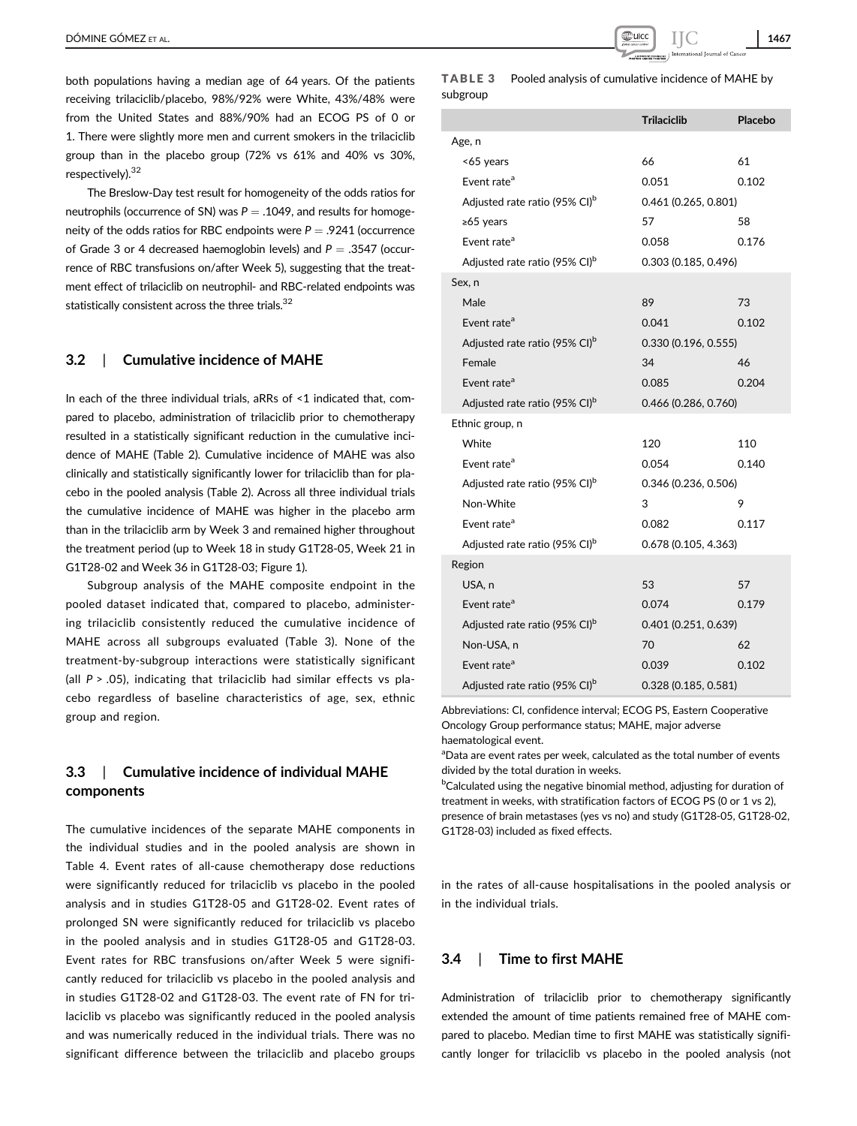both populations having a median age of 64 years. Of the patients receiving trilaciclib/placebo, 98%/92% were White, 43%/48% were from the United States and 88%/90% had an ECOG PS of 0 or 1. There were slightly more men and current smokers in the trilaciclib group than in the placebo group (72% vs 61% and 40% vs 30%, respectively).<sup>32</sup>

The Breslow-Day test result for homogeneity of the odds ratios for neutrophils (occurrence of SN) was  $P = .1049$ , and results for homogeneity of the odds ratios for RBC endpoints were  $P = .9241$  (occurrence of Grade 3 or 4 decreased haemoglobin levels) and  $P = .3547$  (occurrence of RBC transfusions on/after Week 5), suggesting that the treatment effect of trilaciclib on neutrophil- and RBC-related endpoints was statistically consistent across the three trials.<sup>32</sup>

## 3.2 | Cumulative incidence of MAHE

In each of the three individual trials, aRRs of <1 indicated that, compared to placebo, administration of trilaciclib prior to chemotherapy resulted in a statistically significant reduction in the cumulative incidence of MAHE (Table 2). Cumulative incidence of MAHE was also clinically and statistically significantly lower for trilaciclib than for placebo in the pooled analysis (Table 2). Across all three individual trials the cumulative incidence of MAHE was higher in the placebo arm than in the trilaciclib arm by Week 3 and remained higher throughout the treatment period (up to Week 18 in study G1T28-05, Week 21 in G1T28-02 and Week 36 in G1T28-03; Figure 1).

Subgroup analysis of the MAHE composite endpoint in the pooled dataset indicated that, compared to placebo, administering trilaciclib consistently reduced the cumulative incidence of MAHE across all subgroups evaluated (Table 3). None of the treatment-by-subgroup interactions were statistically significant (all  $P > .05$ ), indicating that trilaciclib had similar effects vs placebo regardless of baseline characteristics of age, sex, ethnic group and region.

# 3.3 | Cumulative incidence of individual MAHE components

The cumulative incidences of the separate MAHE components in the individual studies and in the pooled analysis are shown in Table 4. Event rates of all-cause chemotherapy dose reductions were significantly reduced for trilaciclib vs placebo in the pooled analysis and in studies G1T28-05 and G1T28-02. Event rates of prolonged SN were significantly reduced for trilaciclib vs placebo in the pooled analysis and in studies G1T28-05 and G1T28-03. Event rates for RBC transfusions on/after Week 5 were significantly reduced for trilaciclib vs placebo in the pooled analysis and in studies G1T28-02 and G1T28-03. The event rate of FN for trilaciclib vs placebo was significantly reduced in the pooled analysis and was numerically reduced in the individual trials. There was no significant difference between the trilaciclib and placebo groups

## TABLE 3 Pooled analysis of cumulative incidence of MAHE by subgroup

|                                           | <b>Trilaciclib</b>   | Placebo |  |  |  |
|-------------------------------------------|----------------------|---------|--|--|--|
| Age, n                                    |                      |         |  |  |  |
| <65 years                                 | 66                   | 61      |  |  |  |
| Event rate <sup>a</sup>                   | 0.051                | 0.102   |  |  |  |
| Adjusted rate ratio (95% CI) <sup>b</sup> | 0.461 (0.265, 0.801) |         |  |  |  |
| $\ge 65$ years                            | 57                   | 58      |  |  |  |
| Event rate <sup>a</sup>                   | 0.058                | 0.176   |  |  |  |
| Adjusted rate ratio (95% CI) <sup>b</sup> | 0.303 (0.185, 0.496) |         |  |  |  |
| Sex, n                                    |                      |         |  |  |  |
| Male                                      | 89                   | 73      |  |  |  |
| Event rate <sup>a</sup>                   | 0.041                | 0.102   |  |  |  |
| Adjusted rate ratio (95% CI) <sup>b</sup> | 0.330 (0.196, 0.555) |         |  |  |  |
| Female                                    | 34                   | 46      |  |  |  |
| Event rate <sup>a</sup>                   | 0.085                | 0.204   |  |  |  |
| Adjusted rate ratio (95% CI) <sup>b</sup> | 0.466 (0.286, 0.760) |         |  |  |  |
| Ethnic group, n                           |                      |         |  |  |  |
| White                                     | 120                  | 110     |  |  |  |
| Event rate <sup>a</sup>                   | 0.054                | 0.140   |  |  |  |
| Adjusted rate ratio (95% CI) <sup>b</sup> | 0.346 (0.236, 0.506) |         |  |  |  |
| Non-White                                 | 3                    | 9       |  |  |  |
| Event rate <sup>a</sup>                   | 0.082                | 0.117   |  |  |  |
| Adjusted rate ratio (95% CI) <sup>b</sup> | 0.678 (0.105, 4.363) |         |  |  |  |
| Region                                    |                      |         |  |  |  |
| USA, n                                    | 53                   | 57      |  |  |  |
| Event rate <sup>a</sup>                   | 0.074                | 0.179   |  |  |  |
| Adjusted rate ratio (95% CI) <sup>b</sup> | 0.401 (0.251, 0.639) |         |  |  |  |
| Non-USA, n                                | 70                   | 62      |  |  |  |
| Event rate <sup>a</sup>                   | 0.039                | 0.102   |  |  |  |
| Adjusted rate ratio (95% CI) <sup>b</sup> | 0.328 (0.185, 0.581) |         |  |  |  |

Abbreviations: CI, confidence interval; ECOG PS, Eastern Cooperative Oncology Group performance status; MAHE, major adverse haematological event.

<sup>a</sup>Data are event rates per week, calculated as the total number of events divided by the total duration in weeks.

**bCalculated using the negative binomial method, adjusting for duration of** treatment in weeks, with stratification factors of ECOG PS (0 or 1 vs 2), presence of brain metastases (yes vs no) and study (G1T28-05, G1T28-02, G1T28-03) included as fixed effects.

in the rates of all-cause hospitalisations in the pooled analysis or in the individual trials.

## 3.4 | Time to first MAHE

Administration of trilaciclib prior to chemotherapy significantly extended the amount of time patients remained free of MAHE compared to placebo. Median time to first MAHE was statistically significantly longer for trilaciclib vs placebo in the pooled analysis (not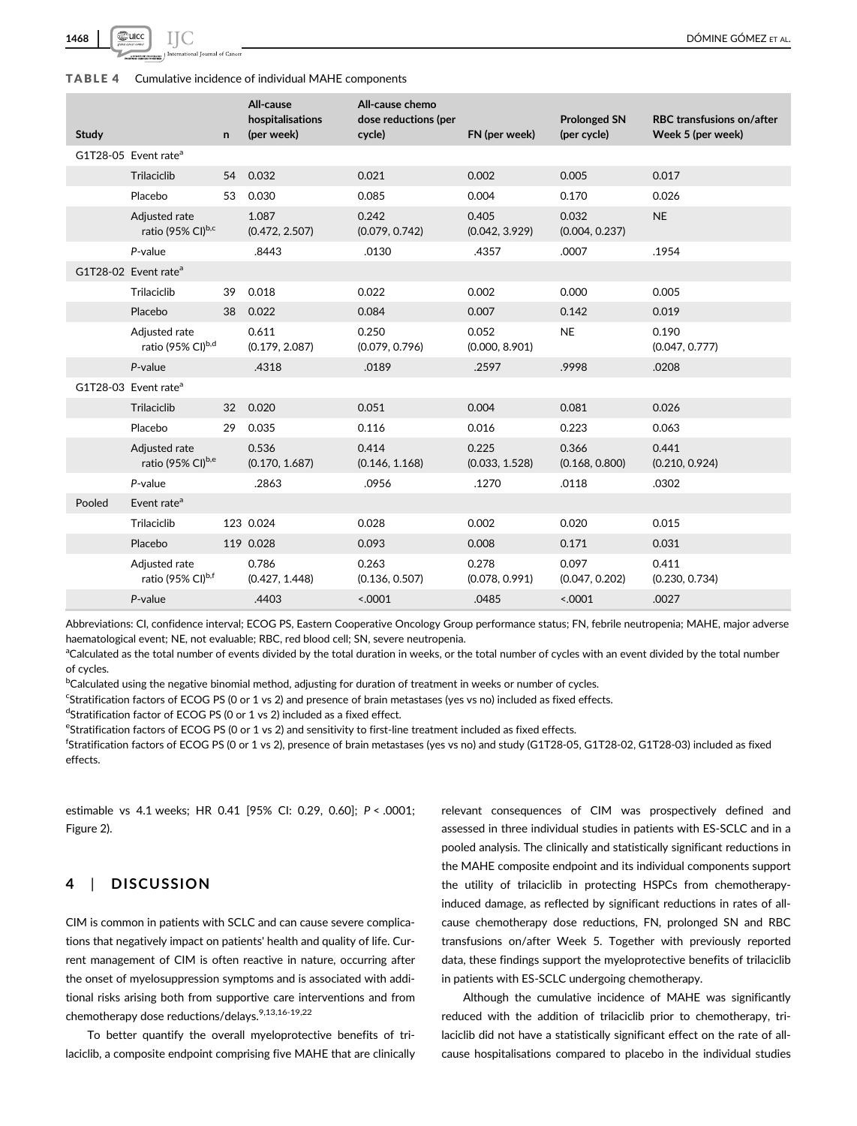

#### TABLE 4 Cumulative incidence of individual MAHE components

| Study  |                                                | $\mathsf{n}$ | All-cause<br>hospitalisations<br>(per week) | All-cause chemo<br>dose reductions (per<br>cycle) | FN (per week)           | <b>Prolonged SN</b><br>(per cycle) | <b>RBC</b> transfusions on/after<br>Week 5 (per week) |
|--------|------------------------------------------------|--------------|---------------------------------------------|---------------------------------------------------|-------------------------|------------------------------------|-------------------------------------------------------|
|        | G1T28-05 Event rate <sup>a</sup>               |              |                                             |                                                   |                         |                                    |                                                       |
|        | Trilaciclib                                    | 54           | 0.032                                       | 0.021                                             | 0.002                   | 0.005                              | 0.017                                                 |
|        | Placebo                                        | 53           | 0.030                                       | 0.085                                             | 0.004                   | 0.170                              | 0.026                                                 |
|        | Adjusted rate<br>ratio (95% CI)b,c             |              | 1.087<br>(0.472, 2.507)                     | 0.242<br>(0.079, 0.742)                           | 0.405<br>(0.042, 3.929) | 0.032<br>(0.004, 0.237)            | <b>NE</b>                                             |
|        | P-value                                        |              | .8443                                       | .0130                                             | .4357                   | .0007                              | .1954                                                 |
|        | G1T28-02 Event rate <sup>a</sup>               |              |                                             |                                                   |                         |                                    |                                                       |
|        | Trilaciclib                                    | 39           | 0.018                                       | 0.022                                             | 0.002                   | 0.000                              | 0.005                                                 |
|        | Placebo                                        | 38           | 0.022                                       | 0.084                                             | 0.007                   | 0.142                              | 0.019                                                 |
|        | Adjusted rate<br>ratio (95% CI) <sup>b,d</sup> |              | 0.611<br>(0.179, 2.087)                     | 0.250<br>(0.079, 0.796)                           | 0.052<br>(0.000, 8.901) | <b>NE</b>                          | 0.190<br>(0.047, 0.777)                               |
|        | P-value                                        |              | .4318                                       | .0189                                             | .2597                   | .9998                              | .0208                                                 |
|        | G1T28-03 Event rate <sup>a</sup>               |              |                                             |                                                   |                         |                                    |                                                       |
|        | Trilaciclib                                    | 32           | 0.020                                       | 0.051                                             | 0.004                   | 0.081                              | 0.026                                                 |
|        | Placebo                                        | 29           | 0.035                                       | 0.116                                             | 0.016                   | 0.223                              | 0.063                                                 |
|        | Adjusted rate<br>ratio (95% CI) <sup>b,e</sup> |              | 0.536<br>(0.170, 1.687)                     | 0.414<br>(0.146, 1.168)                           | 0.225<br>(0.033, 1.528) | 0.366<br>(0.168, 0.800)            | 0.441<br>(0.210, 0.924)                               |
|        | P-value                                        |              | .2863                                       | .0956                                             | .1270                   | .0118                              | .0302                                                 |
| Pooled | Event rate <sup>a</sup>                        |              |                                             |                                                   |                         |                                    |                                                       |
|        | Trilaciclib                                    |              | 123 0.024                                   | 0.028                                             | 0.002                   | 0.020                              | 0.015                                                 |
|        | Placebo                                        |              | 119 0.028                                   | 0.093                                             | 0.008                   | 0.171                              | 0.031                                                 |
|        | Adjusted rate<br>ratio (95% CI)b,f             |              | 0.786<br>(0.427, 1.448)                     | 0.263<br>(0.136, 0.507)                           | 0.278<br>(0.078, 0.991) | 0.097<br>(0.047, 0.202)            | 0.411<br>(0.230, 0.734)                               |
|        | P-value                                        |              | .4403                                       | < .0001                                           | .0485                   | < .0001                            | .0027                                                 |

Abbreviations: CI, confidence interval; ECOG PS, Eastern Cooperative Oncology Group performance status; FN, febrile neutropenia; MAHE, major adverse haematological event; NE, not evaluable; RBC, red blood cell; SN, severe neutropenia.

<sup>a</sup>Calculated as the total number of events divided by the total duration in weeks, or the total number of cycles with an event divided by the total number of cycles.

<sup>b</sup>Calculated using the negative binomial method, adjusting for duration of treatment in weeks or number of cycles.

<sup>c</sup>Stratification factors of ECOG PS (0 or 1 vs 2) and presence of brain metastases (yes vs no) included as fixed effects.

dStratification factor of ECOG PS (0 or 1 vs 2) included as a fixed effect.

eStratification factors of ECOG PS (0 or 1 vs 2) and sensitivity to first-line treatment included as fixed effects.

f Stratification factors of ECOG PS (0 or 1 vs 2), presence of brain metastases (yes vs no) and study (G1T28-05, G1T28-02, G1T28-03) included as fixed effects.

estimable vs 4.1 weeks; HR 0.41 [95% CI: 0.29, 0.60]; P < .0001; Figure 2).

## 4 | DISCUSSION

CIM is common in patients with SCLC and can cause severe complications that negatively impact on patients' health and quality of life. Current management of CIM is often reactive in nature, occurring after the onset of myelosuppression symptoms and is associated with additional risks arising both from supportive care interventions and from chemotherapy dose reductions/delays.<sup>9,13,16-19,22</sup>

To better quantify the overall myeloprotective benefits of trilaciclib, a composite endpoint comprising five MAHE that are clinically relevant consequences of CIM was prospectively defined and assessed in three individual studies in patients with ES-SCLC and in a pooled analysis. The clinically and statistically significant reductions in the MAHE composite endpoint and its individual components support the utility of trilaciclib in protecting HSPCs from chemotherapyinduced damage, as reflected by significant reductions in rates of allcause chemotherapy dose reductions, FN, prolonged SN and RBC transfusions on/after Week 5. Together with previously reported data, these findings support the myeloprotective benefits of trilaciclib in patients with ES-SCLC undergoing chemotherapy.

Although the cumulative incidence of MAHE was significantly reduced with the addition of trilaciclib prior to chemotherapy, trilaciclib did not have a statistically significant effect on the rate of allcause hospitalisations compared to placebo in the individual studies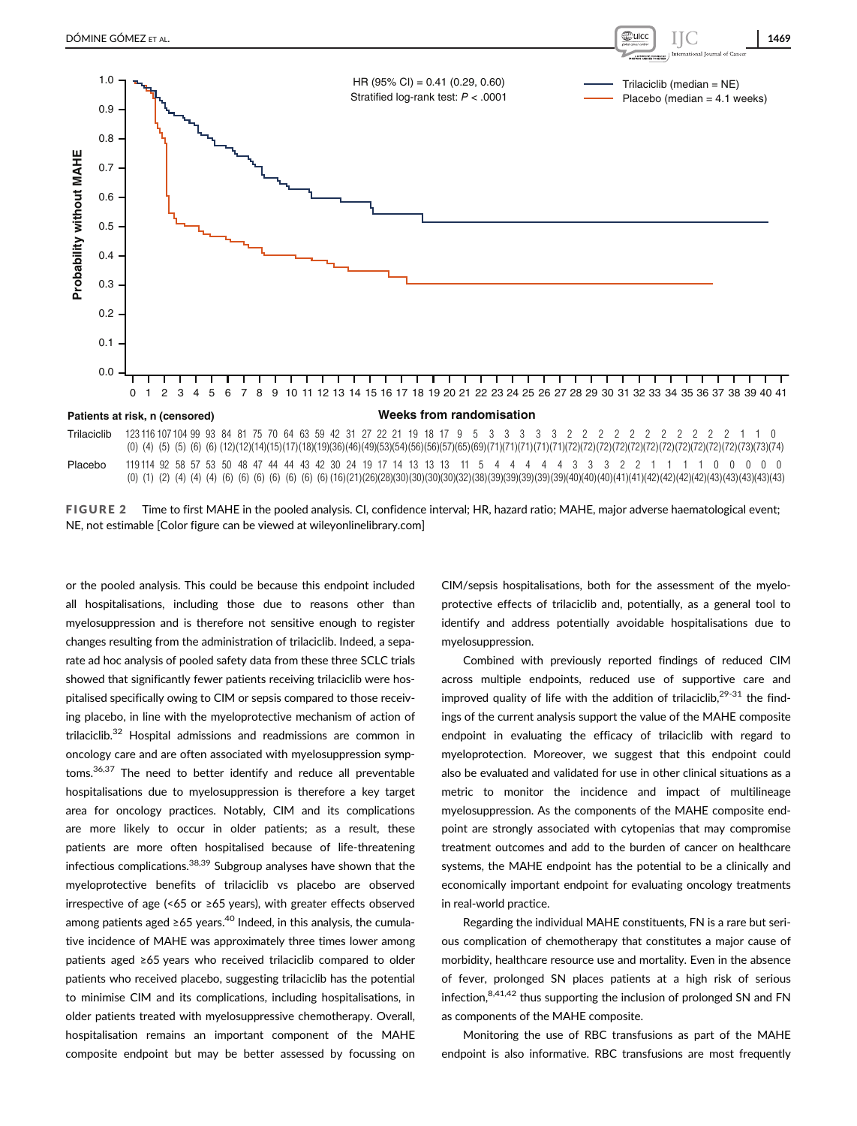

FIGURE 2 Time to first MAHE in the pooled analysis. CI, confidence interval; HR, hazard ratio; MAHE, major adverse haematological event; NE, not estimable [Color figure can be viewed at [wileyonlinelibrary.com\]](http://wileyonlinelibrary.com)

or the pooled analysis. This could be because this endpoint included all hospitalisations, including those due to reasons other than myelosuppression and is therefore not sensitive enough to register changes resulting from the administration of trilaciclib. Indeed, a separate ad hoc analysis of pooled safety data from these three SCLC trials showed that significantly fewer patients receiving trilaciclib were hospitalised specifically owing to CIM or sepsis compared to those receiving placebo, in line with the myeloprotective mechanism of action of trilaciclib.32 Hospital admissions and readmissions are common in oncology care and are often associated with myelosuppression symptoms.36,37 The need to better identify and reduce all preventable hospitalisations due to myelosuppression is therefore a key target area for oncology practices. Notably, CIM and its complications are more likely to occur in older patients; as a result, these patients are more often hospitalised because of life-threatening infectious complications.<sup>38,39</sup> Subgroup analyses have shown that the myeloprotective benefits of trilaciclib vs placebo are observed irrespective of age (<65 or ≥65 years), with greater effects observed among patients aged ≥65 years.<sup>40</sup> Indeed, in this analysis, the cumulative incidence of MAHE was approximately three times lower among patients aged ≥65 years who received trilaciclib compared to older patients who received placebo, suggesting trilaciclib has the potential to minimise CIM and its complications, including hospitalisations, in older patients treated with myelosuppressive chemotherapy. Overall, hospitalisation remains an important component of the MAHE composite endpoint but may be better assessed by focussing on

CIM/sepsis hospitalisations, both for the assessment of the myeloprotective effects of trilaciclib and, potentially, as a general tool to identify and address potentially avoidable hospitalisations due to myelosuppression.

Combined with previously reported findings of reduced CIM across multiple endpoints, reduced use of supportive care and improved quality of life with the addition of trilaciclib, $2^{9-31}$  the findings of the current analysis support the value of the MAHE composite endpoint in evaluating the efficacy of trilaciclib with regard to myeloprotection. Moreover, we suggest that this endpoint could also be evaluated and validated for use in other clinical situations as a metric to monitor the incidence and impact of multilineage myelosuppression. As the components of the MAHE composite endpoint are strongly associated with cytopenias that may compromise treatment outcomes and add to the burden of cancer on healthcare systems, the MAHE endpoint has the potential to be a clinically and economically important endpoint for evaluating oncology treatments in real-world practice.

Regarding the individual MAHE constituents, FN is a rare but serious complication of chemotherapy that constitutes a major cause of morbidity, healthcare resource use and mortality. Even in the absence of fever, prolonged SN places patients at a high risk of serious infection, 8,41,42 thus supporting the inclusion of prolonged SN and FN as components of the MAHE composite.

Monitoring the use of RBC transfusions as part of the MAHE endpoint is also informative. RBC transfusions are most frequently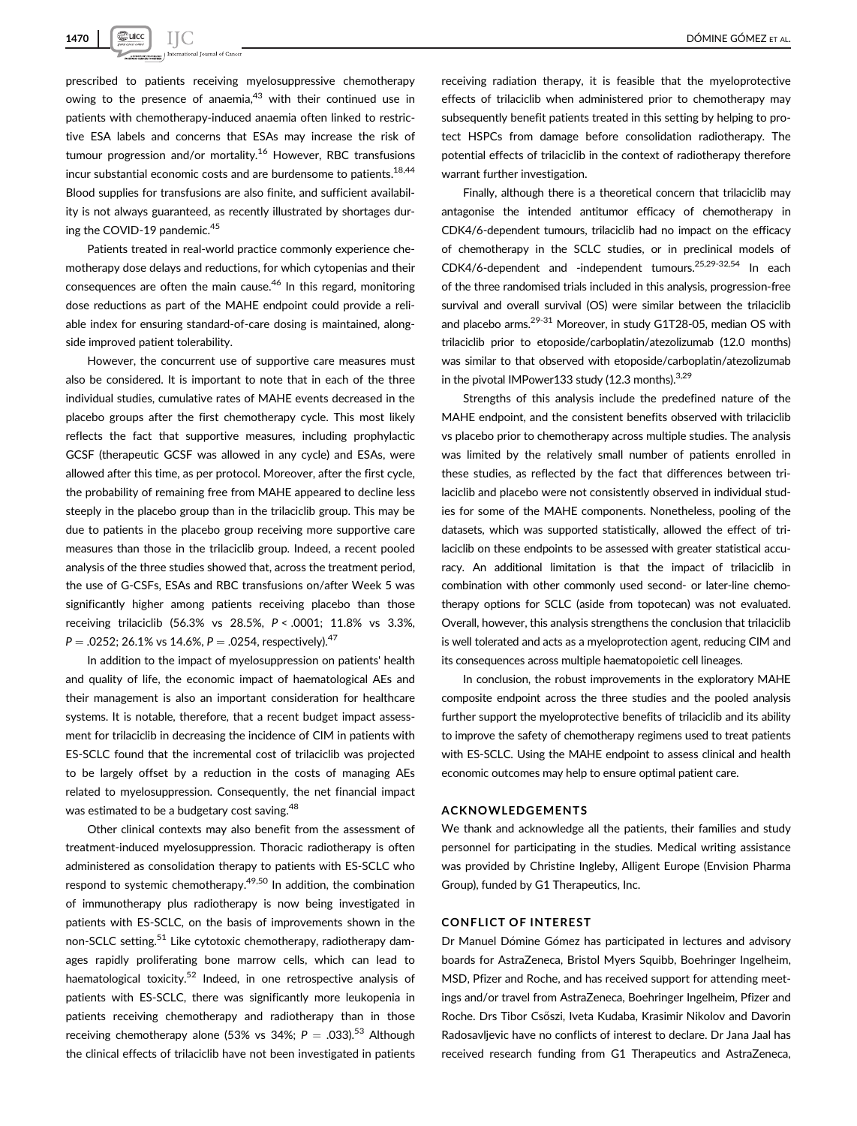prescribed to patients receiving myelosuppressive chemotherapy owing to the presence of anaemia, $43$  with their continued use in patients with chemotherapy-induced anaemia often linked to restrictive ESA labels and concerns that ESAs may increase the risk of tumour progression and/or mortality.<sup>16</sup> However, RBC transfusions incur substantial economic costs and are burdensome to patients.  $18,44$ Blood supplies for transfusions are also finite, and sufficient availability is not always guaranteed, as recently illustrated by shortages during the COVID-19 pandemic.<sup>45</sup>

Patients treated in real-world practice commonly experience chemotherapy dose delays and reductions, for which cytopenias and their consequences are often the main cause.<sup>46</sup> In this regard, monitoring dose reductions as part of the MAHE endpoint could provide a reliable index for ensuring standard-of-care dosing is maintained, alongside improved patient tolerability.

However, the concurrent use of supportive care measures must also be considered. It is important to note that in each of the three individual studies, cumulative rates of MAHE events decreased in the placebo groups after the first chemotherapy cycle. This most likely reflects the fact that supportive measures, including prophylactic GCSF (therapeutic GCSF was allowed in any cycle) and ESAs, were allowed after this time, as per protocol. Moreover, after the first cycle, the probability of remaining free from MAHE appeared to decline less steeply in the placebo group than in the trilaciclib group. This may be due to patients in the placebo group receiving more supportive care measures than those in the trilaciclib group. Indeed, a recent pooled analysis of the three studies showed that, across the treatment period, the use of G-CSFs, ESAs and RBC transfusions on/after Week 5 was significantly higher among patients receiving placebo than those receiving trilaciclib (56.3% vs 28.5%, P < .0001; 11.8% vs 3.3%,  $P = 0.0252$ ; 26.1% vs 14.6%,  $P = 0.0254$ , respectively).<sup>47</sup>

In addition to the impact of myelosuppression on patients' health and quality of life, the economic impact of haematological AEs and their management is also an important consideration for healthcare systems. It is notable, therefore, that a recent budget impact assessment for trilaciclib in decreasing the incidence of CIM in patients with ES-SCLC found that the incremental cost of trilaciclib was projected to be largely offset by a reduction in the costs of managing AEs related to myelosuppression. Consequently, the net financial impact was estimated to be a budgetary cost saving.<sup>48</sup>

Other clinical contexts may also benefit from the assessment of treatment-induced myelosuppression. Thoracic radiotherapy is often administered as consolidation therapy to patients with ES-SCLC who respond to systemic chemotherapy.<sup>49,50</sup> In addition, the combination of immunotherapy plus radiotherapy is now being investigated in patients with ES-SCLC, on the basis of improvements shown in the non-SCLC setting.<sup>51</sup> Like cytotoxic chemotherapy, radiotherapy damages rapidly proliferating bone marrow cells, which can lead to haematological toxicity.<sup>52</sup> Indeed, in one retrospective analysis of patients with ES-SCLC, there was significantly more leukopenia in patients receiving chemotherapy and radiotherapy than in those receiving chemotherapy alone (53% vs 34%;  $P = .033$ ).<sup>53</sup> Although the clinical effects of trilaciclib have not been investigated in patients

receiving radiation therapy, it is feasible that the myeloprotective effects of trilaciclib when administered prior to chemotherapy may subsequently benefit patients treated in this setting by helping to protect HSPCs from damage before consolidation radiotherapy. The potential effects of trilaciclib in the context of radiotherapy therefore warrant further investigation.

Finally, although there is a theoretical concern that trilaciclib may antagonise the intended antitumor efficacy of chemotherapy in CDK4/6-dependent tumours, trilaciclib had no impact on the efficacy of chemotherapy in the SCLC studies, or in preclinical models of CDK4/6-dependent and -independent tumours.25,29-32,54 In each of the three randomised trials included in this analysis, progression-free survival and overall survival (OS) were similar between the trilaciclib and placebo arms.<sup>29-31</sup> Moreover, in study G1T28-05, median OS with trilaciclib prior to etoposide/carboplatin/atezolizumab (12.0 months) was similar to that observed with etoposide/carboplatin/atezolizumab in the pivotal IMPower133 study (12.3 months). 3,29

Strengths of this analysis include the predefined nature of the MAHE endpoint, and the consistent benefits observed with trilaciclib vs placebo prior to chemotherapy across multiple studies. The analysis was limited by the relatively small number of patients enrolled in these studies, as reflected by the fact that differences between trilaciclib and placebo were not consistently observed in individual studies for some of the MAHE components. Nonetheless, pooling of the datasets, which was supported statistically, allowed the effect of trilaciclib on these endpoints to be assessed with greater statistical accuracy. An additional limitation is that the impact of trilaciclib in combination with other commonly used second- or later-line chemotherapy options for SCLC (aside from topotecan) was not evaluated. Overall, however, this analysis strengthens the conclusion that trilaciclib is well tolerated and acts as a myeloprotection agent, reducing CIM and its consequences across multiple haematopoietic cell lineages.

In conclusion, the robust improvements in the exploratory MAHE composite endpoint across the three studies and the pooled analysis further support the myeloprotective benefits of trilaciclib and its ability to improve the safety of chemotherapy regimens used to treat patients with ES-SCLC. Using the MAHE endpoint to assess clinical and health economic outcomes may help to ensure optimal patient care.

#### ACKNOWLEDGEMENTS

We thank and acknowledge all the patients, their families and study personnel for participating in the studies. Medical writing assistance was provided by Christine Ingleby, Alligent Europe (Envision Pharma Group), funded by G1 Therapeutics, Inc.

#### CONFLICT OF INTEREST

Dr Manuel Dómine Gómez has participated in lectures and advisory boards for AstraZeneca, Bristol Myers Squibb, Boehringer Ingelheim, MSD, Pfizer and Roche, and has received support for attending meetings and/or travel from AstraZeneca, Boehringer Ingelheim, Pfizer and Roche. Drs Tibor Csőszi, Iveta Kudaba, Krasimir Nikolov and Davorin Radosavljevic have no conflicts of interest to declare. Dr Jana Jaal has received research funding from G1 Therapeutics and AstraZeneca,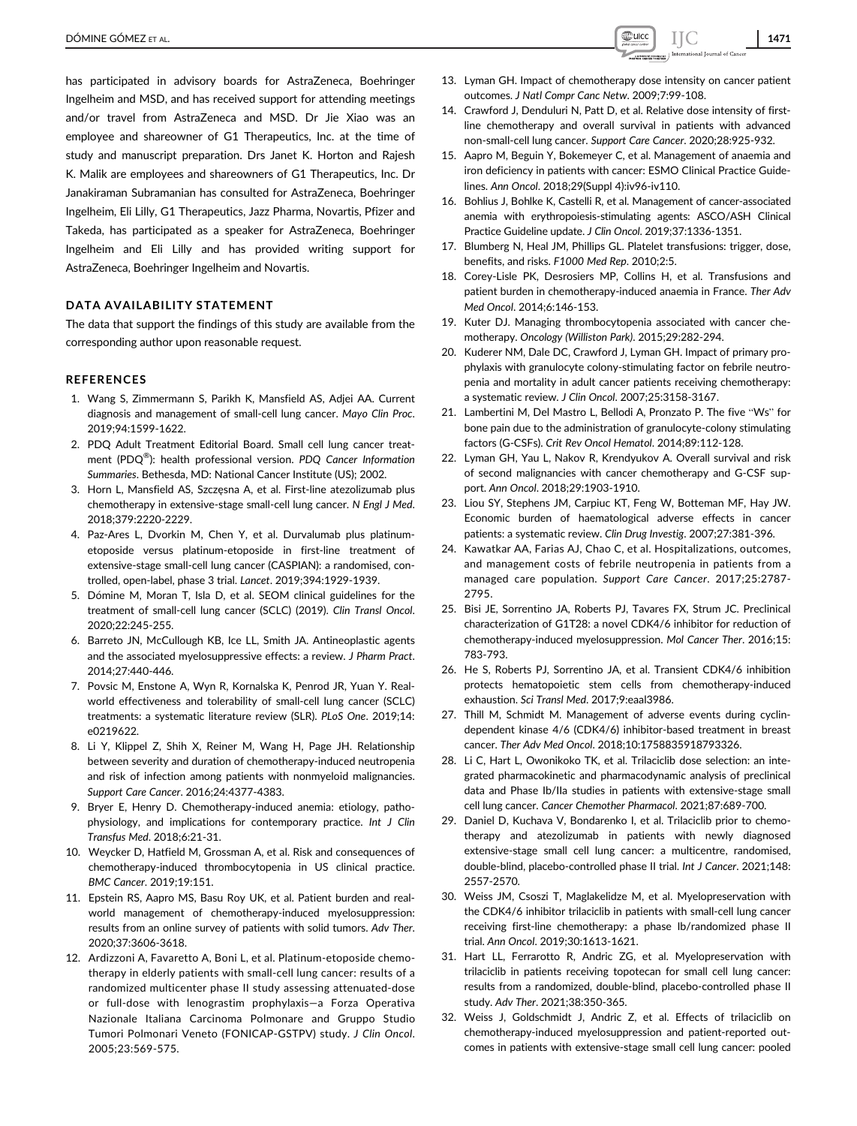has participated in advisory boards for AstraZeneca, Boehringer Ingelheim and MSD, and has received support for attending meetings and/or travel from AstraZeneca and MSD. Dr Jie Xiao was an employee and shareowner of G1 Therapeutics, Inc. at the time of study and manuscript preparation. Drs Janet K. Horton and Rajesh K. Malik are employees and shareowners of G1 Therapeutics, Inc. Dr Janakiraman Subramanian has consulted for AstraZeneca, Boehringer Ingelheim, Eli Lilly, G1 Therapeutics, Jazz Pharma, Novartis, Pfizer and Takeda, has participated as a speaker for AstraZeneca, Boehringer Ingelheim and Eli Lilly and has provided writing support for AstraZeneca, Boehringer Ingelheim and Novartis.

## DATA AVAILABILITY STATEMENT

The data that support the findings of this study are available from the corresponding author upon reasonable request.

#### **REFERENCES**

- 1. Wang S, Zimmermann S, Parikh K, Mansfield AS, Adjei AA. Current diagnosis and management of small-cell lung cancer. Mayo Clin Proc. 2019;94:1599-1622.
- 2. PDQ Adult Treatment Editorial Board. Small cell lung cancer treatment (PDQ<sup>®</sup>): health professional version. PDQ Cancer Information Summaries. Bethesda, MD: National Cancer Institute (US); 2002.
- 3. Horn L, Mansfield AS, Szczęsna A, et al. First-line atezolizumab plus chemotherapy in extensive-stage small-cell lung cancer. N Engl J Med. 2018;379:2220-2229.
- 4. Paz-Ares L, Dvorkin M, Chen Y, et al. Durvalumab plus platinumetoposide versus platinum-etoposide in first-line treatment of extensive-stage small-cell lung cancer (CASPIAN): a randomised, controlled, open-label, phase 3 trial. Lancet. 2019;394:1929-1939.
- 5. Dómine M, Moran T, Isla D, et al. SEOM clinical guidelines for the treatment of small-cell lung cancer (SCLC) (2019). Clin Transl Oncol. 2020;22:245-255.
- 6. Barreto JN, McCullough KB, Ice LL, Smith JA. Antineoplastic agents and the associated myelosuppressive effects: a review. J Pharm Pract. 2014;27:440-446.
- 7. Povsic M, Enstone A, Wyn R, Kornalska K, Penrod JR, Yuan Y. Realworld effectiveness and tolerability of small-cell lung cancer (SCLC) treatments: a systematic literature review (SLR). PLoS One. 2019;14: e0219622.
- 8. Li Y, Klippel Z, Shih X, Reiner M, Wang H, Page JH. Relationship between severity and duration of chemotherapy-induced neutropenia and risk of infection among patients with nonmyeloid malignancies. Support Care Cancer. 2016;24:4377-4383.
- 9. Bryer E, Henry D. Chemotherapy-induced anemia: etiology, pathophysiology, and implications for contemporary practice. Int J Clin Transfus Med. 2018;6:21-31.
- 10. Weycker D, Hatfield M, Grossman A, et al. Risk and consequences of chemotherapy-induced thrombocytopenia in US clinical practice. BMC Cancer. 2019;19:151.
- 11. Epstein RS, Aapro MS, Basu Roy UK, et al. Patient burden and realworld management of chemotherapy-induced myelosuppression: results from an online survey of patients with solid tumors. Adv Ther. 2020;37:3606-3618.
- 12. Ardizzoni A, Favaretto A, Boni L, et al. Platinum-etoposide chemotherapy in elderly patients with small-cell lung cancer: results of a randomized multicenter phase II study assessing attenuated-dose or full-dose with lenograstim prophylaxis—a Forza Operativa Nazionale Italiana Carcinoma Polmonare and Gruppo Studio Tumori Polmonari Veneto (FONICAP-GSTPV) study. J Clin Oncol. 2005;23:569-575.
- 13. Lyman GH. Impact of chemotherapy dose intensity on cancer patient outcomes. J Natl Compr Canc Netw. 2009;7:99-108.
- 14. Crawford J, Denduluri N, Patt D, et al. Relative dose intensity of firstline chemotherapy and overall survival in patients with advanced non-small-cell lung cancer. Support Care Cancer. 2020;28:925-932.
- 15. Aapro M, Beguin Y, Bokemeyer C, et al. Management of anaemia and iron deficiency in patients with cancer: ESMO Clinical Practice Guidelines. Ann Oncol. 2018;29(Suppl 4):iv96-iv110.
- 16. Bohlius J, Bohlke K, Castelli R, et al. Management of cancer-associated anemia with erythropoiesis-stimulating agents: ASCO/ASH Clinical Practice Guideline update. J Clin Oncol. 2019;37:1336-1351.
- 17. Blumberg N, Heal JM, Phillips GL. Platelet transfusions: trigger, dose, benefits, and risks. F1000 Med Rep. 2010;2:5.
- 18. Corey-Lisle PK, Desrosiers MP, Collins H, et al. Transfusions and patient burden in chemotherapy-induced anaemia in France. Ther Adv Med Oncol. 2014;6:146-153.
- 19. Kuter DJ. Managing thrombocytopenia associated with cancer chemotherapy. Oncology (Williston Park). 2015;29:282-294.
- 20. Kuderer NM, Dale DC, Crawford J, Lyman GH. Impact of primary prophylaxis with granulocyte colony-stimulating factor on febrile neutropenia and mortality in adult cancer patients receiving chemotherapy: a systematic review. J Clin Oncol. 2007;25:3158-3167.
- 21. Lambertini M, Del Mastro L, Bellodi A, Pronzato P. The five "Ws" for bone pain due to the administration of granulocyte-colony stimulating factors (G-CSFs). Crit Rev Oncol Hematol. 2014;89:112-128.
- 22. Lyman GH, Yau L, Nakov R, Krendyukov A. Overall survival and risk of second malignancies with cancer chemotherapy and G-CSF support. Ann Oncol. 2018;29:1903-1910.
- 23. Liou SY, Stephens JM, Carpiuc KT, Feng W, Botteman MF, Hay JW. Economic burden of haematological adverse effects in cancer patients: a systematic review. Clin Drug Investig. 2007;27:381-396.
- 24. Kawatkar AA, Farias AJ, Chao C, et al. Hospitalizations, outcomes, and management costs of febrile neutropenia in patients from a managed care population. Support Care Cancer. 2017;25:2787- 2795.
- 25. Bisi JE, Sorrentino JA, Roberts PJ, Tavares FX, Strum JC. Preclinical characterization of G1T28: a novel CDK4/6 inhibitor for reduction of chemotherapy-induced myelosuppression. Mol Cancer Ther. 2016;15: 783-793.
- 26. He S, Roberts PJ, Sorrentino JA, et al. Transient CDK4/6 inhibition protects hematopoietic stem cells from chemotherapy-induced exhaustion. Sci Transl Med. 2017;9:eaal3986.
- 27. Thill M, Schmidt M. Management of adverse events during cyclindependent kinase 4/6 (CDK4/6) inhibitor-based treatment in breast cancer. Ther Adv Med Oncol. 2018;10:1758835918793326.
- 28. Li C, Hart L, Owonikoko TK, et al. Trilaciclib dose selection: an integrated pharmacokinetic and pharmacodynamic analysis of preclinical data and Phase Ib/IIa studies in patients with extensive-stage small cell lung cancer. Cancer Chemother Pharmacol. 2021;87:689-700.
- 29. Daniel D, Kuchava V, Bondarenko I, et al. Trilaciclib prior to chemotherapy and atezolizumab in patients with newly diagnosed extensive-stage small cell lung cancer: a multicentre, randomised, double-blind, placebo-controlled phase II trial. Int J Cancer. 2021;148: 2557-2570.
- 30. Weiss JM, Csoszi T, Maglakelidze M, et al. Myelopreservation with the CDK4/6 inhibitor trilaciclib in patients with small-cell lung cancer receiving first-line chemotherapy: a phase Ib/randomized phase II trial. Ann Oncol. 2019;30:1613-1621.
- 31. Hart LL, Ferrarotto R, Andric ZG, et al. Myelopreservation with trilaciclib in patients receiving topotecan for small cell lung cancer: results from a randomized, double-blind, placebo-controlled phase II study. Adv Ther. 2021;38:350-365.
- 32. Weiss J, Goldschmidt J, Andric Z, et al. Effects of trilaciclib on chemotherapy-induced myelosuppression and patient-reported outcomes in patients with extensive-stage small cell lung cancer: pooled